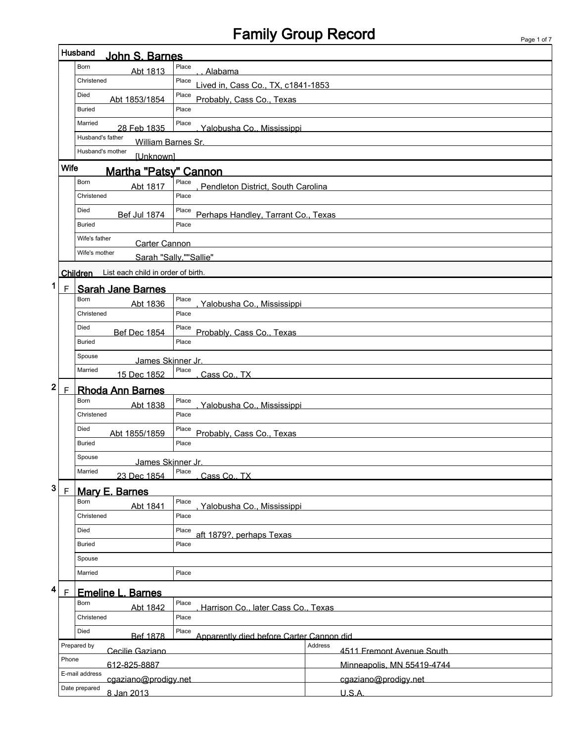# Family Group Record Page 1 of 7

|                             | <b>Husband</b>                              |                                                   |                                      |  |  |  |  |  |
|-----------------------------|---------------------------------------------|---------------------------------------------------|--------------------------------------|--|--|--|--|--|
|                             | John S. Barnes                              |                                                   |                                      |  |  |  |  |  |
|                             | <b>Born</b><br>Abt 1813                     | Place<br>Alabama                                  |                                      |  |  |  |  |  |
|                             | Christened                                  | Place<br>Lived in, Cass Co., TX, c1841-1853       |                                      |  |  |  |  |  |
|                             | Died<br>Abt 1853/1854                       | Place<br>Probably, Cass Co., Texas                |                                      |  |  |  |  |  |
|                             | <b>Buried</b>                               | Place                                             |                                      |  |  |  |  |  |
|                             | Married                                     | Place                                             |                                      |  |  |  |  |  |
|                             | 28 Feb 1835<br>Husband's father             | Yalobusha Co., Mississippi                        |                                      |  |  |  |  |  |
|                             | William Barnes Sr.                          |                                                   |                                      |  |  |  |  |  |
|                             | Husband's mother<br><b>[Unknown]</b>        |                                                   |                                      |  |  |  |  |  |
|                             | <b>Wife</b><br><b>Martha "Patsy" Cannon</b> |                                                   |                                      |  |  |  |  |  |
|                             | <b>Born</b><br>Abt 1817                     | Place<br>Pendleton District, South Carolina       |                                      |  |  |  |  |  |
|                             | Christened                                  | Place                                             |                                      |  |  |  |  |  |
|                             | Died<br><b>Bef Jul 1874</b>                 | Place<br>Perhaps Handley, Tarrant Co., Texas      |                                      |  |  |  |  |  |
|                             | <b>Buried</b>                               | Place                                             |                                      |  |  |  |  |  |
|                             | Wife's father                               |                                                   |                                      |  |  |  |  |  |
|                             | Carter Cannon<br>Wife's mother              |                                                   |                                      |  |  |  |  |  |
|                             |                                             | Sarah "Sallv.""Sallie"                            |                                      |  |  |  |  |  |
|                             | Children List each child in order of birth. |                                                   |                                      |  |  |  |  |  |
| 1<br>$\mathsf F$            | <b>Sarah Jane Barnes</b>                    |                                                   |                                      |  |  |  |  |  |
|                             | Born<br>Abt 1836                            | Place<br>Yalobusha Co., Mississippi               |                                      |  |  |  |  |  |
|                             | Christened                                  | Place                                             |                                      |  |  |  |  |  |
|                             | Died                                        | Place                                             |                                      |  |  |  |  |  |
|                             | <b>Bef Dec 1854</b><br><b>Buried</b>        | Place                                             | Probably, Cass Co., Texas            |  |  |  |  |  |
|                             | Spouse                                      |                                                   |                                      |  |  |  |  |  |
|                             | James Skinner Jr.<br>Married                | Place                                             |                                      |  |  |  |  |  |
|                             | 15 Dec 1852                                 | Cass Co., TX                                      |                                      |  |  |  |  |  |
| $\mathbf{2}$<br>$\mathsf F$ | <b>Rhoda Ann Barnes</b>                     |                                                   |                                      |  |  |  |  |  |
|                             | Born<br>Abt 1838                            | Place<br>Yalobusha Co., Mississippi               |                                      |  |  |  |  |  |
|                             | Christened                                  | Place                                             |                                      |  |  |  |  |  |
|                             | Died<br>Abt 1855/1859                       | Place                                             | Probably, Cass Co., Texas            |  |  |  |  |  |
|                             | <b>Buried</b>                               | Place                                             |                                      |  |  |  |  |  |
|                             | Spouse                                      |                                                   |                                      |  |  |  |  |  |
|                             | James Skinner Jr.<br>Married<br>Place       |                                                   |                                      |  |  |  |  |  |
|                             | Cass Co., TX<br>23 Dec 1854                 |                                                   |                                      |  |  |  |  |  |
| 3<br>$\mathsf F$            | <b>Mary E. Barnes</b>                       |                                                   |                                      |  |  |  |  |  |
|                             | <b>Born</b><br>Abt 1841                     | Place<br>Yalobusha Co., Mississippi               |                                      |  |  |  |  |  |
|                             | Christened                                  | Place                                             |                                      |  |  |  |  |  |
|                             | Died                                        | Place<br>aft 1879?, perhaps Texas                 |                                      |  |  |  |  |  |
|                             | <b>Buried</b>                               | Place                                             |                                      |  |  |  |  |  |
|                             | Spouse                                      |                                                   |                                      |  |  |  |  |  |
|                             | Married                                     | Place                                             |                                      |  |  |  |  |  |
| 4                           |                                             |                                                   |                                      |  |  |  |  |  |
| F                           | <b>Emeline L. Barnes</b><br>Born            | Place                                             |                                      |  |  |  |  |  |
|                             | Abt 1842<br>Christened                      | Harrison Co., later Cass Co., Texas<br>Place      |                                      |  |  |  |  |  |
|                             |                                             |                                                   |                                      |  |  |  |  |  |
|                             | Died<br>Bef 1878                            | Place<br>Apparently died before Carter Cannon did |                                      |  |  |  |  |  |
|                             | Prepared by<br>Cecilie Gaziano              |                                                   | Address<br>4511 Fremont Avenue South |  |  |  |  |  |
|                             | Phone<br>612-825-8887                       |                                                   | Minneapolis, MN 55419-4744           |  |  |  |  |  |
|                             | E-mail address<br>cgaziano@prodigy.net      |                                                   | cgaziano@prodigy.net                 |  |  |  |  |  |
|                             | Date prepared<br>8 Jan 2013                 |                                                   | U.S.A.                               |  |  |  |  |  |
|                             |                                             |                                                   |                                      |  |  |  |  |  |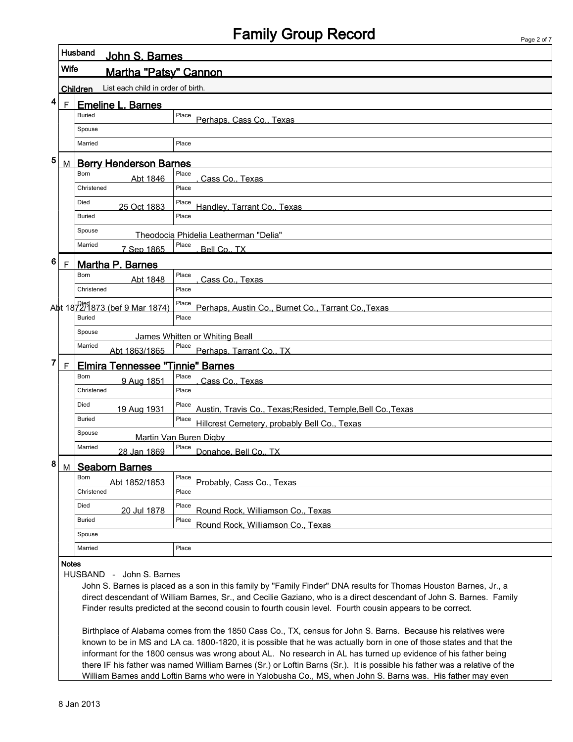## Family Group Record

| Page 2 of 7 |  |  |
|-------------|--|--|

|   |                                                        | Husband<br>John S. Barnes                                    |                                                                                                                                                                                                                                                                                                                                                                                                                                                                                                                                                                                                    |  |  |  |  |  |  |
|---|--------------------------------------------------------|--------------------------------------------------------------|----------------------------------------------------------------------------------------------------------------------------------------------------------------------------------------------------------------------------------------------------------------------------------------------------------------------------------------------------------------------------------------------------------------------------------------------------------------------------------------------------------------------------------------------------------------------------------------------------|--|--|--|--|--|--|
|   | Wife                                                   | Martha "Patsv" Cannon                                        |                                                                                                                                                                                                                                                                                                                                                                                                                                                                                                                                                                                                    |  |  |  |  |  |  |
|   | List each child in order of birth.<br><b>Children</b>  |                                                              |                                                                                                                                                                                                                                                                                                                                                                                                                                                                                                                                                                                                    |  |  |  |  |  |  |
| 4 | E                                                      | <b>Emeline L. Barnes</b>                                     |                                                                                                                                                                                                                                                                                                                                                                                                                                                                                                                                                                                                    |  |  |  |  |  |  |
|   |                                                        | <b>Buried</b>                                                | Place<br>Perhaps, Cass Co., Texas                                                                                                                                                                                                                                                                                                                                                                                                                                                                                                                                                                  |  |  |  |  |  |  |
|   |                                                        | Spouse                                                       |                                                                                                                                                                                                                                                                                                                                                                                                                                                                                                                                                                                                    |  |  |  |  |  |  |
|   |                                                        | Married                                                      | Place                                                                                                                                                                                                                                                                                                                                                                                                                                                                                                                                                                                              |  |  |  |  |  |  |
| 5 | M                                                      | <b>Berry Henderson Barnes</b>                                |                                                                                                                                                                                                                                                                                                                                                                                                                                                                                                                                                                                                    |  |  |  |  |  |  |
|   | Place<br>Cass Co., Texas                               |                                                              |                                                                                                                                                                                                                                                                                                                                                                                                                                                                                                                                                                                                    |  |  |  |  |  |  |
|   |                                                        | Christened                                                   | Place                                                                                                                                                                                                                                                                                                                                                                                                                                                                                                                                                                                              |  |  |  |  |  |  |
|   |                                                        | Died<br>25 Oct 1883                                          | Place<br>Handley, Tarrant Co., Texas                                                                                                                                                                                                                                                                                                                                                                                                                                                                                                                                                               |  |  |  |  |  |  |
|   |                                                        | <b>Buried</b>                                                | Place                                                                                                                                                                                                                                                                                                                                                                                                                                                                                                                                                                                              |  |  |  |  |  |  |
|   |                                                        | Spouse                                                       | Theodocia Phidelia Leatherman "Delia"                                                                                                                                                                                                                                                                                                                                                                                                                                                                                                                                                              |  |  |  |  |  |  |
|   |                                                        | Married<br>7 Sep 1865                                        | Place<br>Bell Co., TX                                                                                                                                                                                                                                                                                                                                                                                                                                                                                                                                                                              |  |  |  |  |  |  |
| 6 | F                                                      | <b>Martha P. Barnes</b>                                      |                                                                                                                                                                                                                                                                                                                                                                                                                                                                                                                                                                                                    |  |  |  |  |  |  |
|   |                                                        | Born<br>Abt 1848                                             | Place<br>Cass Co., Texas                                                                                                                                                                                                                                                                                                                                                                                                                                                                                                                                                                           |  |  |  |  |  |  |
|   |                                                        | Christened                                                   | Place                                                                                                                                                                                                                                                                                                                                                                                                                                                                                                                                                                                              |  |  |  |  |  |  |
|   |                                                        | Abt 18 <sup>Died</sup> 873 (bef 9 Mar 1874)<br><b>Buried</b> | Place<br>Perhaps, Austin Co., Burnet Co., Tarrant Co., Texas<br>Place                                                                                                                                                                                                                                                                                                                                                                                                                                                                                                                              |  |  |  |  |  |  |
|   |                                                        |                                                              |                                                                                                                                                                                                                                                                                                                                                                                                                                                                                                                                                                                                    |  |  |  |  |  |  |
|   |                                                        | Spouse<br>James Whitten or Whiting Beall<br>Married          |                                                                                                                                                                                                                                                                                                                                                                                                                                                                                                                                                                                                    |  |  |  |  |  |  |
| 7 |                                                        |                                                              | Place Perhaps, Tarrant Co., TX<br>Abt 1863/1865                                                                                                                                                                                                                                                                                                                                                                                                                                                                                                                                                    |  |  |  |  |  |  |
|   | F                                                      | <b>Elmira Tennessee "Tinnie" Barnes</b><br>Born              | Place                                                                                                                                                                                                                                                                                                                                                                                                                                                                                                                                                                                              |  |  |  |  |  |  |
|   |                                                        | 9 Aug 1851<br>Christened                                     | Cass Co., Texas<br>Place                                                                                                                                                                                                                                                                                                                                                                                                                                                                                                                                                                           |  |  |  |  |  |  |
|   |                                                        | Died                                                         | Place                                                                                                                                                                                                                                                                                                                                                                                                                                                                                                                                                                                              |  |  |  |  |  |  |
|   |                                                        | 19 Aug 1931<br><b>Buried</b>                                 | Austin, Travis Co., Texas; Resided, Temple, Bell Co., Texas<br>Place                                                                                                                                                                                                                                                                                                                                                                                                                                                                                                                               |  |  |  |  |  |  |
|   | Hillcrest Cemetery, probably Bell Co., Texas<br>Spouse |                                                              |                                                                                                                                                                                                                                                                                                                                                                                                                                                                                                                                                                                                    |  |  |  |  |  |  |
|   |                                                        | Married                                                      | Martin Van Buren Digby<br>Place                                                                                                                                                                                                                                                                                                                                                                                                                                                                                                                                                                    |  |  |  |  |  |  |
| 8 |                                                        | 28 Jan 1869                                                  | Donahoe, Bell Co., TX                                                                                                                                                                                                                                                                                                                                                                                                                                                                                                                                                                              |  |  |  |  |  |  |
|   | M                                                      | <b>Seaborn Barnes</b><br>Born                                | Place                                                                                                                                                                                                                                                                                                                                                                                                                                                                                                                                                                                              |  |  |  |  |  |  |
|   |                                                        | Abt 1852/1853<br>Christened                                  | Probably, Cass Co., Texas<br>Place                                                                                                                                                                                                                                                                                                                                                                                                                                                                                                                                                                 |  |  |  |  |  |  |
|   |                                                        | Died<br>20 Jul 1878                                          | Place<br>Round Rock, Williamson Co., Texas                                                                                                                                                                                                                                                                                                                                                                                                                                                                                                                                                         |  |  |  |  |  |  |
|   |                                                        | Buried                                                       | Place<br>Round Rock, Williamson Co., Texas                                                                                                                                                                                                                                                                                                                                                                                                                                                                                                                                                         |  |  |  |  |  |  |
|   |                                                        | Spouse                                                       |                                                                                                                                                                                                                                                                                                                                                                                                                                                                                                                                                                                                    |  |  |  |  |  |  |
|   |                                                        | Married                                                      | Place                                                                                                                                                                                                                                                                                                                                                                                                                                                                                                                                                                                              |  |  |  |  |  |  |
|   | <b>Notes</b>                                           | HUSBAND - John S. Barnes                                     |                                                                                                                                                                                                                                                                                                                                                                                                                                                                                                                                                                                                    |  |  |  |  |  |  |
|   |                                                        |                                                              | John S. Barnes is placed as a son in this family by "Family Finder" DNA results for Thomas Houston Barnes, Jr., a<br>direct descendant of William Barnes, Sr., and Cecilie Gaziano, who is a direct descendant of John S. Barnes. Family<br>Finder results predicted at the second cousin to fourth cousin level. Fourth cousin appears to be correct.                                                                                                                                                                                                                                             |  |  |  |  |  |  |
|   |                                                        |                                                              | Birthplace of Alabama comes from the 1850 Cass Co., TX, census for John S. Barns. Because his relatives were<br>known to be in MS and LA ca. 1800-1820, it is possible that he was actually born in one of those states and that the<br>informant for the 1800 census was wrong about AL. No research in AL has turned up evidence of his father being<br>there IF his father was named William Barnes (Sr.) or Loftin Barns (Sr.). It is possible his father was a relative of the<br>William Barnes andd Loftin Barns who were in Yalobusha Co., MS, when John S. Barns was. His father may even |  |  |  |  |  |  |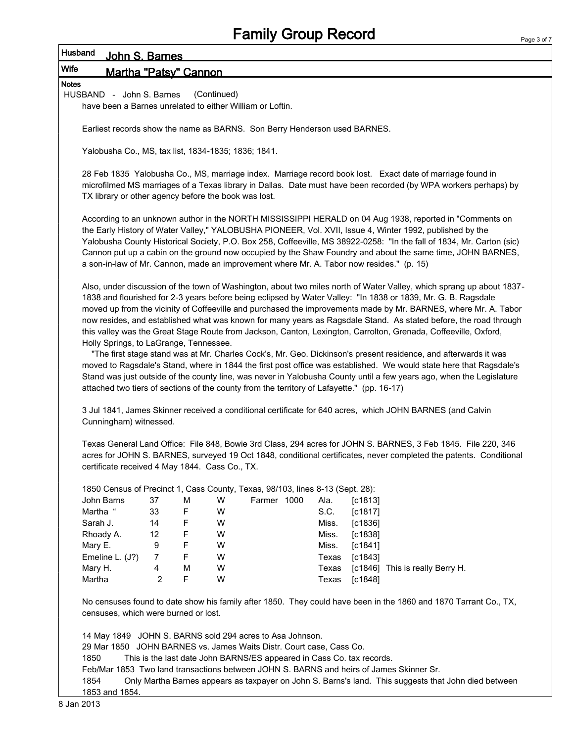#### Husband John S. Barnes

### Wife Martha "Patsy" Cannon

Notes

HUSBAND - John S. Barnes (Continued) have been a Barnes unrelated to either William or Loftin.

Earliest records show the name as BARNS. Son Berry Henderson used BARNES.

Yalobusha Co., MS, tax list, 1834-1835; 1836; 1841.

28 Feb 1835 Yalobusha Co., MS, marriage index. Marriage record book lost. Exact date of marriage found in microfilmed MS marriages of a Texas library in Dallas. Date must have been recorded (by WPA workers perhaps) by TX library or other agency before the book was lost.

According to an unknown author in the NORTH MISSISSIPPI HERALD on 04 Aug 1938, reported in "Comments on the Early History of Water Valley," YALOBUSHA PIONEER, Vol. XVII, Issue 4, Winter 1992, published by the Yalobusha County Historical Society, P.O. Box 258, Coffeeville, MS 38922-0258: "In the fall of 1834, Mr. Carton (sic) Cannon put up a cabin on the ground now occupied by the Shaw Foundry and about the same time, JOHN BARNES, a son-in-law of Mr. Cannon, made an improvement where Mr. A. Tabor now resides." (p. 15)

Also, under discussion of the town of Washington, about two miles north of Water Valley, which sprang up about 1837- 1838 and flourished for 2-3 years before being eclipsed by Water Valley: "In 1838 or 1839, Mr. G. B. Ragsdale moved up from the vicinity of Coffeeville and purchased the improvements made by Mr. BARNES, where Mr. A. Tabor now resides, and established what was known for many years as Ragsdale Stand. As stated before, the road through this valley was the Great Stage Route from Jackson, Canton, Lexington, Carrolton, Grenada, Coffeeville, Oxford, Holly Springs, to LaGrange, Tennessee.

 "The first stage stand was at Mr. Charles Cock's, Mr. Geo. Dickinson's present residence, and afterwards it was moved to Ragsdale's Stand, where in 1844 the first post office was established. We would state here that Ragsdale's Stand was just outside of the county line, was never in Yalobusha County until a few years ago, when the Legislature attached two tiers of sections of the county from the territory of Lafayette." (pp. 16-17)

3 Jul 1841, James Skinner received a conditional certificate for 640 acres, which JOHN BARNES (and Calvin Cunningham) witnessed.

Texas General Land Office: File 848, Bowie 3rd Class, 294 acres for JOHN S. BARNES, 3 Feb 1845. File 220, 346 acres for JOHN S. BARNES, surveyed 19 Oct 1848, conditional certificates, never completed the patents. Conditional certificate received 4 May 1844. Cass Co., TX.

| 37 | M | W |  | Ala.        | $\lceil c1813 \rceil$ |                                                                               |
|----|---|---|--|-------------|-----------------------|-------------------------------------------------------------------------------|
| 33 | F | W |  | S.C.        | [c1817]               |                                                                               |
| 14 | F | W |  | Miss.       | [c1836]               |                                                                               |
| 12 | F | W |  | Miss.       | [c1838]               |                                                                               |
| 9  | F | W |  | Miss.       | [c1841]               |                                                                               |
|    | F | W |  | Texas       | [c1843]               |                                                                               |
| 4  | М | W |  | Texas       |                       | [c1846] This is really Berry H.                                               |
|    | F | W |  | Texas       | [c1848]               |                                                                               |
|    |   |   |  | Farmer 1000 |                       | 1850 Census of Precinct 1, Cass County, Texas, 98/103, lines 8-13 (Sept. 28): |

No censuses found to date show his family after 1850. They could have been in the 1860 and 1870 Tarrant Co., TX, censuses, which were burned or lost.

14 May 1849 JOHN S. BARNS sold 294 acres to Asa Johnson.

29 Mar 1850 JOHN BARNES vs. James Waits Distr. Court case, Cass Co.

1850 This is the last date John BARNS/ES appeared in Cass Co. tax records.

Feb/Mar 1853 Two land transactions between JOHN S. BARNS and heirs of James Skinner Sr.

1854 Only Martha Barnes appears as taxpayer on John S. Barns's land. This suggests that John died between 1853 and 1854.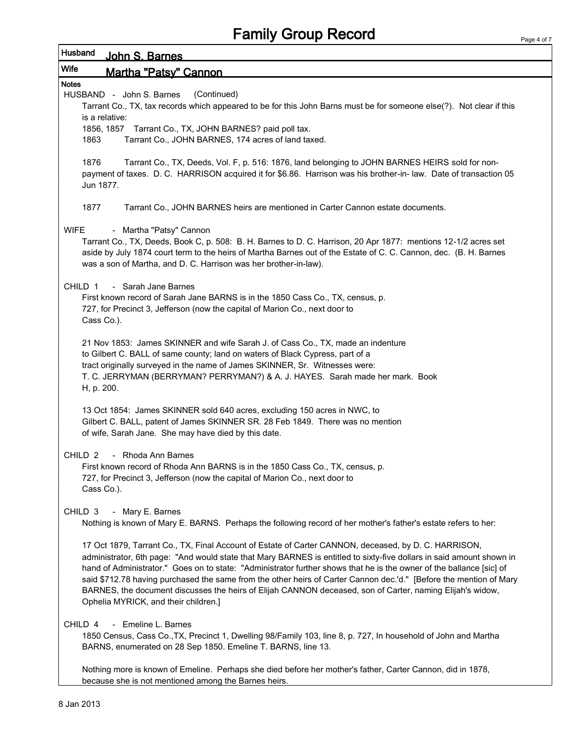| Husband<br>John S. Barnes                                                                                                                                                                                                                                                                                                                                                                                                                                                                                                                                                                                                       |  |  |  |  |  |  |  |
|---------------------------------------------------------------------------------------------------------------------------------------------------------------------------------------------------------------------------------------------------------------------------------------------------------------------------------------------------------------------------------------------------------------------------------------------------------------------------------------------------------------------------------------------------------------------------------------------------------------------------------|--|--|--|--|--|--|--|
| <b>Wife</b><br>Martha "Patsv" Cannon                                                                                                                                                                                                                                                                                                                                                                                                                                                                                                                                                                                            |  |  |  |  |  |  |  |
| <b>Notes</b><br>HUSBAND - John S. Barnes<br>(Continued)<br>Tarrant Co., TX, tax records which appeared to be for this John Barns must be for someone else(?). Not clear if this                                                                                                                                                                                                                                                                                                                                                                                                                                                 |  |  |  |  |  |  |  |
| is a relative:<br>1856, 1857 Tarrant Co., TX, JOHN BARNES? paid poll tax.<br>Tarrant Co., JOHN BARNES, 174 acres of land taxed.<br>1863                                                                                                                                                                                                                                                                                                                                                                                                                                                                                         |  |  |  |  |  |  |  |
| 1876<br>Tarrant Co., TX, Deeds, Vol. F, p. 516: 1876, land belonging to JOHN BARNES HEIRS sold for non-<br>payment of taxes. D. C. HARRISON acquired it for \$6.86. Harrison was his brother-in-law. Date of transaction 05<br>Jun 1877.                                                                                                                                                                                                                                                                                                                                                                                        |  |  |  |  |  |  |  |
| 1877<br>Tarrant Co., JOHN BARNES heirs are mentioned in Carter Cannon estate documents.                                                                                                                                                                                                                                                                                                                                                                                                                                                                                                                                         |  |  |  |  |  |  |  |
| - Martha "Patsy" Cannon<br><b>WIFE</b><br>Tarrant Co., TX, Deeds, Book C, p. 508: B. H. Barnes to D. C. Harrison, 20 Apr 1877: mentions 12-1/2 acres set<br>aside by July 1874 court term to the heirs of Martha Barnes out of the Estate of C. C. Cannon, dec. (B. H. Barnes<br>was a son of Martha, and D. C. Harrison was her brother-in-law).                                                                                                                                                                                                                                                                               |  |  |  |  |  |  |  |
| - Sarah Jane Barnes<br>CHILD 1<br>First known record of Sarah Jane BARNS is in the 1850 Cass Co., TX, census, p.<br>727, for Precinct 3, Jefferson (now the capital of Marion Co., next door to<br>Cass Co.).                                                                                                                                                                                                                                                                                                                                                                                                                   |  |  |  |  |  |  |  |
| 21 Nov 1853: James SKINNER and wife Sarah J. of Cass Co., TX, made an indenture<br>to Gilbert C. BALL of same county; land on waters of Black Cypress, part of a<br>tract originally surveyed in the name of James SKINNER, Sr. Witnesses were:<br>T. C. JERRYMAN (BERRYMAN? PERRYMAN?) & A. J. HAYES. Sarah made her mark. Book<br>H, p. 200.                                                                                                                                                                                                                                                                                  |  |  |  |  |  |  |  |
| 13 Oct 1854: James SKINNER sold 640 acres, excluding 150 acres in NWC, to<br>Gilbert C. BALL, patent of James SKINNER SR. 28 Feb 1849. There was no mention<br>of wife, Sarah Jane. She may have died by this date.                                                                                                                                                                                                                                                                                                                                                                                                             |  |  |  |  |  |  |  |
| CHILD <sub>2</sub><br>- Rhoda Ann Barnes<br>First known record of Rhoda Ann BARNS is in the 1850 Cass Co., TX, census, p.<br>727, for Precinct 3, Jefferson (now the capital of Marion Co., next door to<br>Cass Co.).                                                                                                                                                                                                                                                                                                                                                                                                          |  |  |  |  |  |  |  |
| CHILD <sub>3</sub><br>- Mary E. Barnes<br>Nothing is known of Mary E. BARNS. Perhaps the following record of her mother's father's estate refers to her:                                                                                                                                                                                                                                                                                                                                                                                                                                                                        |  |  |  |  |  |  |  |
| 17 Oct 1879, Tarrant Co., TX, Final Account of Estate of Carter CANNON, deceased, by D. C. HARRISON,<br>administrator, 6th page: "And would state that Mary BARNES is entitled to sixty-five dollars in said amount shown in<br>hand of Administrator." Goes on to state: "Administrator further shows that he is the owner of the ballance [sic] of<br>said \$712.78 having purchased the same from the other heirs of Carter Cannon dec.'d." [Before the mention of Mary<br>BARNES, the document discusses the heirs of Elijah CANNON deceased, son of Carter, naming Elijah's widow,<br>Ophelia MYRICK, and their children.] |  |  |  |  |  |  |  |
| - Emeline L. Barnes<br>CHILD 4<br>1850 Census, Cass Co., TX, Precinct 1, Dwelling 98/Family 103, line 8, p. 727, In household of John and Martha<br>BARNS, enumerated on 28 Sep 1850. Emeline T. BARNS, line 13.                                                                                                                                                                                                                                                                                                                                                                                                                |  |  |  |  |  |  |  |
| Nothing more is known of Emeline. Perhaps she died before her mother's father, Carter Cannon, did in 1878,                                                                                                                                                                                                                                                                                                                                                                                                                                                                                                                      |  |  |  |  |  |  |  |

because she is not mentioned among the Barnes heirs.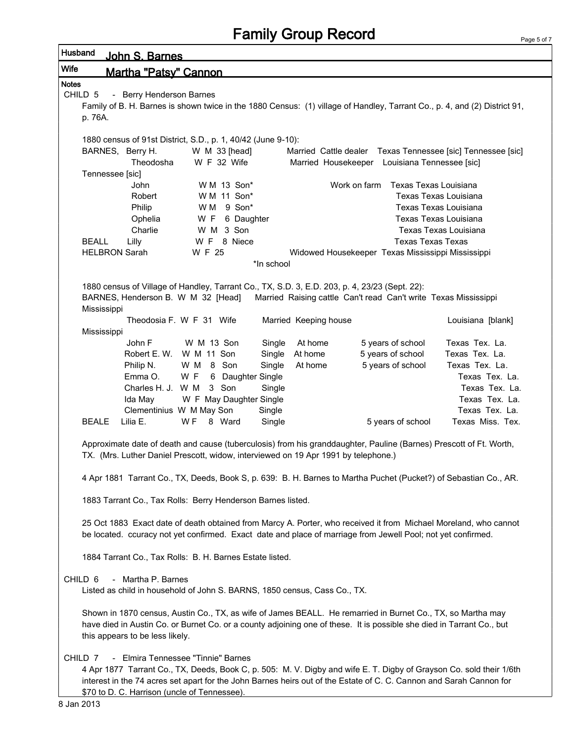| Husband      | <u>John S. Barnes</u>                                                                                                                                                                                                                      |                                                                                                                       |                       |                                                                 |                          |                                                                                                                           |  |  |  |
|--------------|--------------------------------------------------------------------------------------------------------------------------------------------------------------------------------------------------------------------------------------------|-----------------------------------------------------------------------------------------------------------------------|-----------------------|-----------------------------------------------------------------|--------------------------|---------------------------------------------------------------------------------------------------------------------------|--|--|--|
| <b>Wife</b>  | Martha "Patsv" Cannon                                                                                                                                                                                                                      |                                                                                                                       |                       |                                                                 |                          |                                                                                                                           |  |  |  |
| <b>Notes</b> |                                                                                                                                                                                                                                            |                                                                                                                       |                       |                                                                 |                          |                                                                                                                           |  |  |  |
| CHILD 5      | - Berry Henderson Barnes                                                                                                                                                                                                                   |                                                                                                                       |                       |                                                                 |                          |                                                                                                                           |  |  |  |
|              |                                                                                                                                                                                                                                            |                                                                                                                       |                       |                                                                 |                          | Family of B. H. Barnes is shown twice in the 1880 Census: (1) village of Handley, Tarrant Co., p. 4, and (2) District 91, |  |  |  |
|              | p. 76A.                                                                                                                                                                                                                                    |                                                                                                                       |                       |                                                                 |                          |                                                                                                                           |  |  |  |
|              |                                                                                                                                                                                                                                            | 1880 census of 91st District, S.D., p. 1, 40/42 (June 9-10):                                                          |                       |                                                                 |                          |                                                                                                                           |  |  |  |
|              | BARNES, Berry H.                                                                                                                                                                                                                           | W M 33 [head]                                                                                                         |                       |                                                                 |                          | Married Cattle dealer Texas Tennessee [sic] Tennessee [sic]                                                               |  |  |  |
|              | Theodosha                                                                                                                                                                                                                                  | W F 32 Wife                                                                                                           |                       | Married Housekeeper Louisiana Tennessee [sic]                   |                          |                                                                                                                           |  |  |  |
|              | Tennessee [sic]                                                                                                                                                                                                                            |                                                                                                                       |                       |                                                                 |                          |                                                                                                                           |  |  |  |
|              | John                                                                                                                                                                                                                                       | W M 13 Son*                                                                                                           |                       | Work on farm                                                    | Texas Texas Louisiana    |                                                                                                                           |  |  |  |
|              | Robert                                                                                                                                                                                                                                     | W M 11 Son*                                                                                                           |                       |                                                                 | Texas Texas Louisiana    |                                                                                                                           |  |  |  |
|              | Philip                                                                                                                                                                                                                                     | 9 Son*<br>W M                                                                                                         |                       |                                                                 | Texas Texas Louisiana    |                                                                                                                           |  |  |  |
|              | Ophelia<br>Charlie                                                                                                                                                                                                                         | W F 6 Daughter<br>W M 3 Son                                                                                           |                       |                                                                 | Texas Texas Louisiana    | Texas Texas Louisiana                                                                                                     |  |  |  |
| <b>BEALL</b> | Lilly                                                                                                                                                                                                                                      | W F 8 Niece                                                                                                           |                       |                                                                 | <b>Texas Texas Texas</b> |                                                                                                                           |  |  |  |
|              | <b>HELBRON Sarah</b>                                                                                                                                                                                                                       | W F 25                                                                                                                |                       | Widowed Housekeeper Texas Mississippi Mississippi               |                          |                                                                                                                           |  |  |  |
|              |                                                                                                                                                                                                                                            |                                                                                                                       | *In school            |                                                                 |                          |                                                                                                                           |  |  |  |
|              |                                                                                                                                                                                                                                            |                                                                                                                       |                       |                                                                 |                          |                                                                                                                           |  |  |  |
|              |                                                                                                                                                                                                                                            | 1880 census of Village of Handley, Tarrant Co., TX, S.D. 3, E.D. 203, p. 4, 23/23 (Sept. 22):                         |                       |                                                                 |                          |                                                                                                                           |  |  |  |
|              | BARNES, Henderson B. W M 32 [Head]                                                                                                                                                                                                         |                                                                                                                       |                       | Married Raising cattle Can't read Can't write Texas Mississippi |                          |                                                                                                                           |  |  |  |
|              | Mississippi                                                                                                                                                                                                                                | Theodosia F. W F 31 Wife                                                                                              | Married Keeping house |                                                                 |                          | Louisiana [blank]                                                                                                         |  |  |  |
|              | Mississippi                                                                                                                                                                                                                                |                                                                                                                       |                       |                                                                 |                          |                                                                                                                           |  |  |  |
|              | John F                                                                                                                                                                                                                                     | W M 13 Son                                                                                                            | At home<br>Single     |                                                                 | 5 years of school        | Texas Tex. La.                                                                                                            |  |  |  |
|              | Robert E. W.                                                                                                                                                                                                                               | W M 11 Son                                                                                                            | At home<br>Single     |                                                                 | 5 years of school        | Texas Tex. La.                                                                                                            |  |  |  |
|              | Philip N.                                                                                                                                                                                                                                  | W M 8 Son                                                                                                             | At home<br>Single     |                                                                 | 5 years of school        | Texas Tex. La.                                                                                                            |  |  |  |
|              | Emma O.                                                                                                                                                                                                                                    | W F<br>6 Daughter Single                                                                                              |                       |                                                                 |                          | Texas Tex. La.                                                                                                            |  |  |  |
|              | Charles H. J. W M                                                                                                                                                                                                                          | 3 Son                                                                                                                 | Single                |                                                                 |                          | Texas Tex. La.                                                                                                            |  |  |  |
|              | Ida May                                                                                                                                                                                                                                    | W F May Daughter Single                                                                                               |                       |                                                                 |                          | Texas Tex. La.                                                                                                            |  |  |  |
| <b>BEALE</b> | Lilia E.                                                                                                                                                                                                                                   | Clementinius W M May Son<br>W F<br>8 Ward                                                                             | Single<br>Single      |                                                                 | 5 years of school        | Texas Tex. La.<br>Texas Miss. Tex.                                                                                        |  |  |  |
|              |                                                                                                                                                                                                                                            |                                                                                                                       |                       |                                                                 |                          |                                                                                                                           |  |  |  |
|              |                                                                                                                                                                                                                                            | Approximate date of death and cause (tuberculosis) from his granddaughter, Pauline (Barnes) Prescott of Ft. Worth,    |                       |                                                                 |                          |                                                                                                                           |  |  |  |
|              |                                                                                                                                                                                                                                            | TX. (Mrs. Luther Daniel Prescott, widow, interviewed on 19 Apr 1991 by telephone.)                                    |                       |                                                                 |                          |                                                                                                                           |  |  |  |
|              |                                                                                                                                                                                                                                            |                                                                                                                       |                       |                                                                 |                          |                                                                                                                           |  |  |  |
|              |                                                                                                                                                                                                                                            | 4 Apr 1881 Tarrant Co., TX, Deeds, Book S, p. 639: B. H. Barnes to Martha Puchet (Pucket?) of Sebastian Co., AR.      |                       |                                                                 |                          |                                                                                                                           |  |  |  |
|              |                                                                                                                                                                                                                                            |                                                                                                                       |                       |                                                                 |                          |                                                                                                                           |  |  |  |
|              |                                                                                                                                                                                                                                            | 1883 Tarrant Co., Tax Rolls: Berry Henderson Barnes listed.                                                           |                       |                                                                 |                          |                                                                                                                           |  |  |  |
|              |                                                                                                                                                                                                                                            | 25 Oct 1883 Exact date of death obtained from Marcy A. Porter, who received it from Michael Moreland, who cannot      |                       |                                                                 |                          |                                                                                                                           |  |  |  |
|              |                                                                                                                                                                                                                                            | be located. ccuracy not yet confirmed. Exact date and place of marriage from Jewell Pool; not yet confirmed.          |                       |                                                                 |                          |                                                                                                                           |  |  |  |
|              |                                                                                                                                                                                                                                            |                                                                                                                       |                       |                                                                 |                          |                                                                                                                           |  |  |  |
|              |                                                                                                                                                                                                                                            | 1884 Tarrant Co., Tax Rolls: B. H. Barnes Estate listed.                                                              |                       |                                                                 |                          |                                                                                                                           |  |  |  |
|              |                                                                                                                                                                                                                                            |                                                                                                                       |                       |                                                                 |                          |                                                                                                                           |  |  |  |
|              | - Martha P. Barnes<br>CHILD <sub>6</sub><br>Listed as child in household of John S. BARNS, 1850 census, Cass Co., TX.                                                                                                                      |                                                                                                                       |                       |                                                                 |                          |                                                                                                                           |  |  |  |
|              |                                                                                                                                                                                                                                            |                                                                                                                       |                       |                                                                 |                          |                                                                                                                           |  |  |  |
|              |                                                                                                                                                                                                                                            | Shown in 1870 census, Austin Co., TX, as wife of James BEALL. He remarried in Burnet Co., TX, so Martha may           |                       |                                                                 |                          |                                                                                                                           |  |  |  |
|              |                                                                                                                                                                                                                                            | have died in Austin Co. or Burnet Co. or a county adjoining one of these. It is possible she died in Tarrant Co., but |                       |                                                                 |                          |                                                                                                                           |  |  |  |
|              | this appears to be less likely.                                                                                                                                                                                                            |                                                                                                                       |                       |                                                                 |                          |                                                                                                                           |  |  |  |
|              |                                                                                                                                                                                                                                            |                                                                                                                       |                       |                                                                 |                          |                                                                                                                           |  |  |  |
| CHILD 7      |                                                                                                                                                                                                                                            | - Elmira Tennessee "Tinnie" Barnes                                                                                    |                       |                                                                 |                          |                                                                                                                           |  |  |  |
|              | 4 Apr 1877 Tarrant Co., TX, Deeds, Book C, p. 505: M. V. Digby and wife E. T. Digby of Grayson Co. sold their 1/6th<br>interest in the 74 acres set apart for the John Barnes heirs out of the Estate of C. C. Cannon and Sarah Cannon for |                                                                                                                       |                       |                                                                 |                          |                                                                                                                           |  |  |  |
|              | \$70 to D. C. Harrison (uncle of Tennessee).                                                                                                                                                                                               |                                                                                                                       |                       |                                                                 |                          |                                                                                                                           |  |  |  |
|              |                                                                                                                                                                                                                                            |                                                                                                                       |                       |                                                                 |                          |                                                                                                                           |  |  |  |

 $\mathsf I$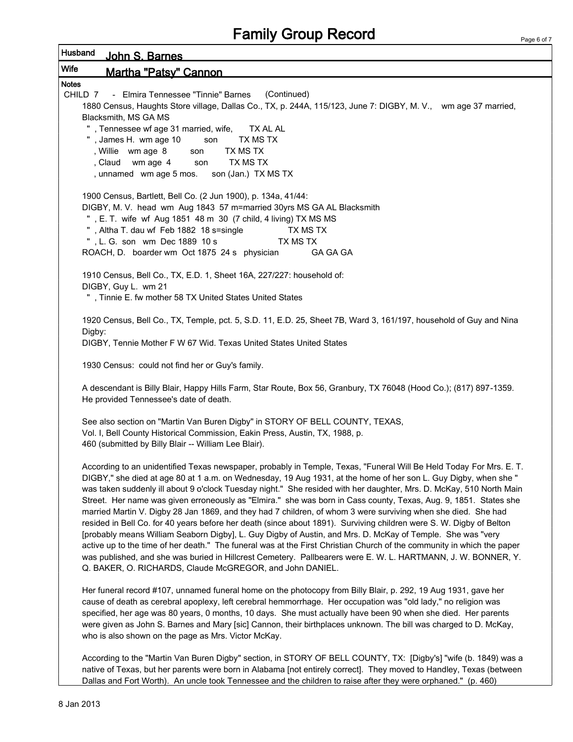| Husband<br><u>John S. Barnes</u>                                                                                                                                                                                                                                                                                                                                                                                                                                                                                                                                                                                                                                                                                                                                                                                                                                                                                                                                                                                                                                                                                                               |  |
|------------------------------------------------------------------------------------------------------------------------------------------------------------------------------------------------------------------------------------------------------------------------------------------------------------------------------------------------------------------------------------------------------------------------------------------------------------------------------------------------------------------------------------------------------------------------------------------------------------------------------------------------------------------------------------------------------------------------------------------------------------------------------------------------------------------------------------------------------------------------------------------------------------------------------------------------------------------------------------------------------------------------------------------------------------------------------------------------------------------------------------------------|--|
| <b>Wife</b><br>Martha "Patsy" Cannon                                                                                                                                                                                                                                                                                                                                                                                                                                                                                                                                                                                                                                                                                                                                                                                                                                                                                                                                                                                                                                                                                                           |  |
| <b>Notes</b><br>(Continued)<br>CHILD 7 - Elmira Tennessee "Tinnie" Barnes<br>1880 Census, Haughts Store village, Dallas Co., TX, p. 244A, 115/123, June 7: DIGBY, M. V., wm age 37 married,<br>Blacksmith, MS GA MS<br>", Tennessee wf age 31 married, wife, TX AL AL<br>, James H. wm age 10<br>TX MS TX<br>son<br>TX MS TX<br>, Willie wm age 8<br>son<br>TX MS TX<br>, Claud wm age 4<br>son<br>son (Jan.) TX MS TX<br>, unnamed wm age 5 mos.                                                                                                                                                                                                                                                                                                                                                                                                                                                                                                                                                                                                                                                                                              |  |
| 1900 Census, Bartlett, Bell Co. (2 Jun 1900), p. 134a, 41/44:<br>DIGBY, M. V. head wm Aug 1843 57 m=married 30yrs MS GA AL Blacksmith<br>", E. T. wife wf Aug 1851 48 m 30 (7 child, 4 living) TX MS MS<br>, Altha T. dau wf Feb 1882 18 s=single<br>TX MS TX<br>", L. G. son wm Dec 1889 10 s<br>TX MS TX<br>ROACH, D. boarder wm Oct 1875 24 s physician<br>GA GA GA                                                                                                                                                                                                                                                                                                                                                                                                                                                                                                                                                                                                                                                                                                                                                                         |  |
| 1910 Census, Bell Co., TX, E.D. 1, Sheet 16A, 227/227: household of:<br>DIGBY, Guy L. wm 21<br>", Tinnie E. fw mother 58 TX United States United States                                                                                                                                                                                                                                                                                                                                                                                                                                                                                                                                                                                                                                                                                                                                                                                                                                                                                                                                                                                        |  |
| 1920 Census, Bell Co., TX, Temple, pct. 5, S.D. 11, E.D. 25, Sheet 7B, Ward 3, 161/197, household of Guy and Nina<br>Digby:<br>DIGBY, Tennie Mother F W 67 Wid. Texas United States United States                                                                                                                                                                                                                                                                                                                                                                                                                                                                                                                                                                                                                                                                                                                                                                                                                                                                                                                                              |  |
| 1930 Census: could not find her or Guy's family.                                                                                                                                                                                                                                                                                                                                                                                                                                                                                                                                                                                                                                                                                                                                                                                                                                                                                                                                                                                                                                                                                               |  |
| A descendant is Billy Blair, Happy Hills Farm, Star Route, Box 56, Granbury, TX 76048 (Hood Co.); (817) 897-1359.<br>He provided Tennessee's date of death.                                                                                                                                                                                                                                                                                                                                                                                                                                                                                                                                                                                                                                                                                                                                                                                                                                                                                                                                                                                    |  |
| See also section on "Martin Van Buren Digby" in STORY OF BELL COUNTY, TEXAS,<br>Vol. I, Bell County Historical Commission, Eakin Press, Austin, TX, 1988, p.<br>460 (submitted by Billy Blair -- William Lee Blair).                                                                                                                                                                                                                                                                                                                                                                                                                                                                                                                                                                                                                                                                                                                                                                                                                                                                                                                           |  |
| According to an unidentified Texas newspaper, probably in Temple, Texas, "Funeral Will Be Held Today For Mrs. E. T.<br>DIGBY," she died at age 80 at 1 a.m. on Wednesday, 19 Aug 1931, at the home of her son L. Guy Digby, when she "<br>was taken suddenly ill about 9 o'clock Tuesday night." She resided with her daughter, Mrs. D. McKay, 510 North Main<br>Street. Her name was given erroneously as "Elmira." she was born in Cass county, Texas, Aug. 9, 1851. States she<br>married Martin V. Digby 28 Jan 1869, and they had 7 children, of whom 3 were surviving when she died. She had<br>resided in Bell Co. for 40 years before her death (since about 1891). Surviving children were S. W. Digby of Belton<br>[probably means William Seaborn Digby], L. Guy Digby of Austin, and Mrs. D. McKay of Temple. She was "very<br>active up to the time of her death." The funeral was at the First Christian Church of the community in which the paper<br>was published, and she was buried in Hillcrest Cemetery. Pallbearers were E. W. L. HARTMANN, J. W. BONNER, Y.<br>Q. BAKER, O. RICHARDS, Claude McGREGOR, and John DANIEL. |  |
| Her funeral record #107, unnamed funeral home on the photocopy from Billy Blair, p. 292, 19 Aug 1931, gave her<br>cause of death as cerebral apoplexy, left cerebral hemmorrhage. Her occupation was "old lady," no religion was<br>specified, her age was 80 years, 0 months, 10 days. She must actually have been 90 when she died. Her parents<br>were given as John S. Barnes and Mary [sic] Cannon, their birthplaces unknown. The bill was charged to D. McKay,<br>who is also shown on the page as Mrs. Victor McKay.                                                                                                                                                                                                                                                                                                                                                                                                                                                                                                                                                                                                                   |  |
| According to the "Martin Van Buren Digby" section, in STORY OF BELL COUNTY, TX: [Digby's] "wife (b. 1849) was a<br>native of Texas, but her parents were born in Alabama [not entirely correct]. They moved to Handley, Texas (between<br>Dallas and Fort Worth). An uncle took Tennessee and the children to raise after they were orphaned." (p. 460)                                                                                                                                                                                                                                                                                                                                                                                                                                                                                                                                                                                                                                                                                                                                                                                        |  |